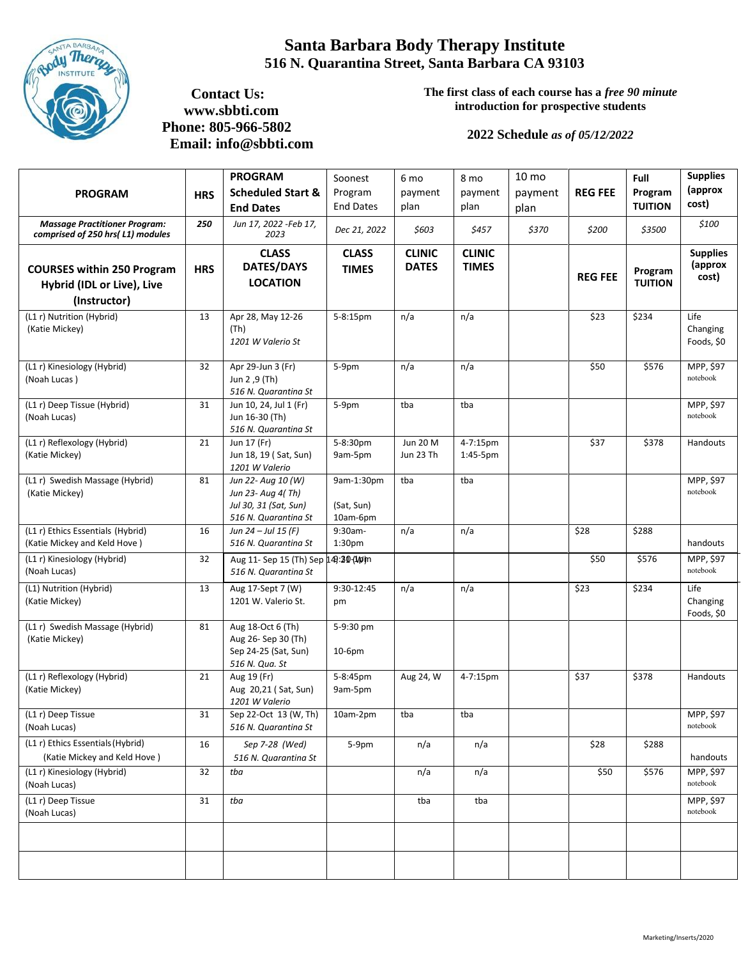

## **Santa Barbara Body Therapy Institute 516 N. Quarantina Street, Santa Barbara CA 93103**

 **Contact Us: www.sbbti.com Phone: 805-966-5802 Email: [info@sbbti.com](mailto:info@sbbti.com)** **The first class of each course has a** *free 90 minute* **introduction for prospective students**

## **2022 Schedule** *as of 05/12/2022*

|                                                                                 |            | <b>PROGRAM</b>                                                                           | Soonest                              | 6 mo                          | 8 mo                          | 10 mo   |                | Full                      | <b>Supplies</b>                     |
|---------------------------------------------------------------------------------|------------|------------------------------------------------------------------------------------------|--------------------------------------|-------------------------------|-------------------------------|---------|----------------|---------------------------|-------------------------------------|
| <b>PROGRAM</b>                                                                  | <b>HRS</b> | <b>Scheduled Start &amp;</b>                                                             | Program                              | payment                       | payment                       | payment | <b>REG FEE</b> | Program                   | (approx                             |
|                                                                                 |            | <b>End Dates</b>                                                                         | <b>End Dates</b>                     | plan                          | plan                          | plan    |                | <b>TUITION</b>            | cost)                               |
| <b>Massage Practitioner Program:</b><br>comprised of 250 hrs( L1) modules       | 250        | Jun 17, 2022 -Feb 17,<br>2023                                                            | Dec 21, 2022                         | \$603                         | \$457                         | \$370   | \$200          | \$3500                    | \$100                               |
| <b>COURSES within 250 Program</b><br>Hybrid (IDL or Live), Live<br>(Instructor) | <b>HRS</b> | <b>CLASS</b><br><b>DATES/DAYS</b><br><b>LOCATION</b>                                     | <b>CLASS</b><br><b>TIMES</b>         | <b>CLINIC</b><br><b>DATES</b> | <b>CLINIC</b><br><b>TIMES</b> |         | <b>REG FEE</b> | Program<br><b>TUITION</b> | <b>Supplies</b><br>(approx<br>cost) |
| (L1 r) Nutrition (Hybrid)<br>(Katie Mickey)                                     | 13         | Apr 28, May 12-26<br>(Th)<br>1201 W Valerio St                                           | 5-8:15pm                             | n/a                           | n/a                           |         | \$23           | \$234                     | Life<br>Changing<br>Foods, \$0      |
| (L1 r) Kinesiology (Hybrid)<br>(Noah Lucas)                                     | 32         | Apr 29-Jun 3 (Fr)<br>Jun 2, 9 (Th)<br>516 N. Quarantina St                               | 5-9pm                                | n/a                           | n/a                           |         | \$50           | \$576                     | MPP, \$97<br>notebook               |
| (L1 r) Deep Tissue (Hybrid)<br>(Noah Lucas)                                     | 31         | Jun 10, 24, Jul 1 (Fr)<br>Jun 16-30 (Th)<br>516 N. Quarantina St                         | 5-9pm                                | tba                           | tba                           |         |                |                           | MPP, \$97<br>notebook               |
| (L1 r) Reflexology (Hybrid)<br>(Katie Mickey)                                   | 21         | Jun 17 (Fr)<br>Jun 18, 19 (Sat, Sun)<br>1201 W Valerio                                   | 5-8:30pm<br>9am-5pm                  | Jun 20 M<br>Jun 23 Th         | 4-7:15pm<br>$1:45-5$ pm       |         | \$37           | \$378                     | Handouts                            |
| (L1 r) Swedish Massage (Hybrid)<br>(Katie Mickey)                               | 81         | Jun 22- Aug 10 (W)<br>Jun 23- Aug 4(Th)<br>Jul 30, 31 (Sat, Sun)<br>516 N. Quarantina St | 9am-1:30pm<br>(Sat, Sun)<br>10am-6pm | tba                           | tba                           |         |                |                           | MPP, \$97<br>notebook               |
| (L1 r) Ethics Essentials (Hybrid)<br>(Katie Mickey and Keld Hove)               | 16         | Jun 24 - Jul 15 (F)<br>516 N. Quarantina St                                              | 9:30am-<br>1:30pm                    | n/a                           | n/a                           |         | \$28           | \$288                     | handouts                            |
| (L1 r) Kinesiology (Hybrid)<br>(Noah Lucas)                                     | 32         | Aug 11- Sep 15 (Th) Sep 149:30-14pm<br>516 N. Quarantina St                              |                                      |                               |                               |         | \$50           | \$576                     | MPP, \$97<br>notebook               |
| (L1) Nutrition (Hybrid)<br>(Katie Mickey)                                       | 13         | Aug 17-Sept 7 (W)<br>1201 W. Valerio St.                                                 | 9:30-12:45<br>pm                     | n/a                           | n/a                           |         | \$23           | \$234                     | Life<br>Changing<br>Foods, \$0      |
| (L1 r) Swedish Massage (Hybrid)<br>(Katie Mickey)                               | 81         | Aug 18-Oct 6 (Th)<br>Aug 26- Sep 30 (Th)<br>Sep 24-25 (Sat, Sun)<br>516 N. Qua. St       | 5-9:30 pm<br>$10-6pm$                |                               |                               |         |                |                           |                                     |
| $\overline{L1r}$ ) Reflexology (Hybrid)<br>(Katie Mickey)                       | 21         | Aug 19 (Fr)<br>Aug 20,21 (Sat, Sun)<br>1201 W Valerio                                    | 5-8:45pm<br>9am-5pm                  | Aug 24, W                     | 4-7:15pm                      |         | \$37           | \$378                     | Handouts                            |
| (L1 r) Deep Tissue<br>(Noah Lucas)                                              | 31         | Sep 22-Oct 13 (W, Th)<br>516 N. Quarantina St                                            | 10am-2pm                             | tba                           | tba                           |         |                |                           | MPP, \$97<br>notebook               |
| (L1 r) Ethics Essentials (Hybrid)<br>(Katie Mickey and Keld Hove)               | 16         | Sep 7-28 (Wed)<br>516 N. Quarantina St                                                   | 5-9pm                                | n/a                           | n/a                           |         | \$28           | \$288                     | handouts                            |
| (L1 r) Kinesiology (Hybrid)<br>(Noah Lucas)                                     | 32         | tba                                                                                      |                                      | n/a                           | n/a                           |         | \$50           | \$576                     | MPP, \$97<br>notebook               |
| (L1 r) Deep Tissue<br>(Noah Lucas)                                              | 31         | tba                                                                                      |                                      | tba                           | tba                           |         |                |                           | MPP, \$97<br>notebook               |
|                                                                                 |            |                                                                                          |                                      |                               |                               |         |                |                           |                                     |
|                                                                                 |            |                                                                                          |                                      |                               |                               |         |                |                           |                                     |